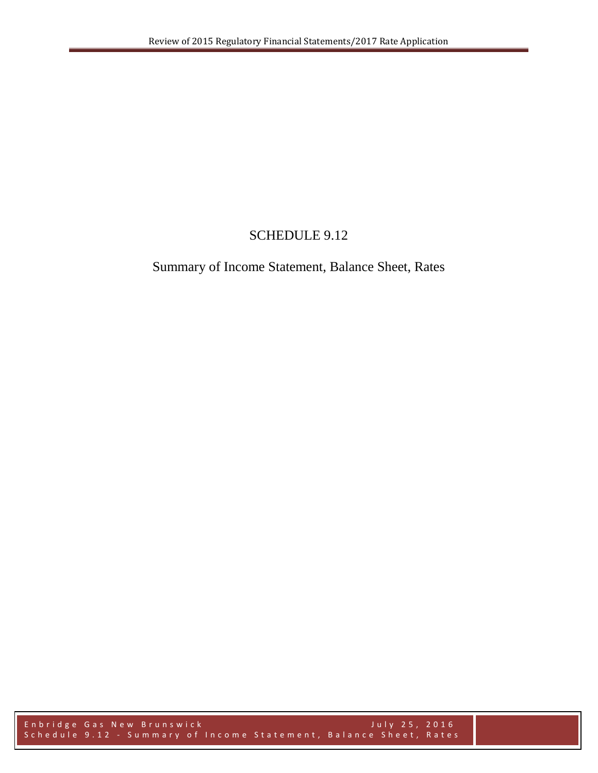## SCHEDULE 9.12

## Summary of Income Statement, Balance Sheet, Rates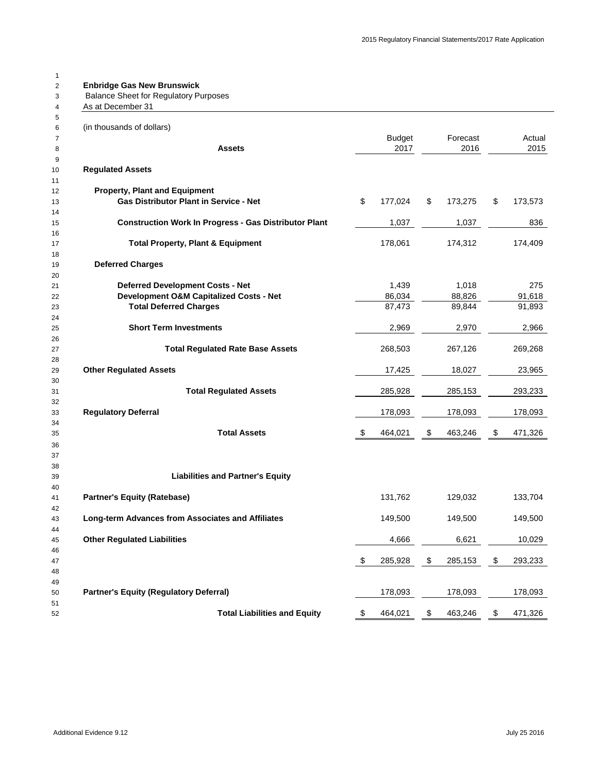| As at December 31                                                                     |     |                     |               |                |         |
|---------------------------------------------------------------------------------------|-----|---------------------|---------------|----------------|---------|
| (in thousands of dollars)                                                             |     |                     |               |                |         |
|                                                                                       |     | <b>Budget</b>       | Forecast      |                | Actual  |
| <b>Assets</b>                                                                         |     | 2017                | 2016          |                | 2015    |
| <b>Regulated Assets</b>                                                               |     |                     |               |                |         |
|                                                                                       |     |                     |               |                |         |
| <b>Property, Plant and Equipment</b><br><b>Gas Distributor Plant in Service - Net</b> | \$  |                     | \$            | $\mathfrak{F}$ |         |
|                                                                                       |     | 177,024             | 173,275       |                | 173,573 |
| <b>Construction Work In Progress - Gas Distributor Plant</b>                          |     | 1,037               | 1,037         |                | 836     |
|                                                                                       |     |                     |               |                |         |
| <b>Total Property, Plant &amp; Equipment</b>                                          |     | 178,061             | 174,312       |                | 174,409 |
|                                                                                       |     |                     |               |                |         |
| <b>Deferred Charges</b>                                                               |     |                     |               |                |         |
|                                                                                       |     |                     |               |                |         |
| <b>Deferred Development Costs - Net</b>                                               |     | 1,439               | 1,018         |                | 275     |
| <b>Development O&amp;M Capitalized Costs - Net</b>                                    |     | 86,034              | 88,826        |                | 91,618  |
| <b>Total Deferred Charges</b>                                                         |     | 87,473              | 89,844        |                | 91,893  |
| <b>Short Term Investments</b>                                                         |     | 2,969               | 2,970         |                | 2,966   |
|                                                                                       |     |                     |               |                |         |
| <b>Total Regulated Rate Base Assets</b>                                               |     | 268,503             | 267,126       |                | 269,268 |
|                                                                                       |     |                     |               |                |         |
| <b>Other Regulated Assets</b>                                                         |     | 17,425              | 18,027        |                | 23,965  |
|                                                                                       |     |                     |               |                |         |
| <b>Total Regulated Assets</b>                                                         |     | 285,928             | 285,153       |                | 293,233 |
|                                                                                       |     |                     |               |                |         |
| <b>Regulatory Deferral</b>                                                            |     | 178,093             | 178,093       |                | 178,093 |
|                                                                                       |     |                     |               |                |         |
| <b>Total Assets</b>                                                                   | \$  | 464,021             | \$<br>463,246 | \$             | 471,326 |
|                                                                                       |     |                     |               |                |         |
|                                                                                       |     |                     |               |                |         |
| <b>Liabilities and Partner's Equity</b>                                               |     |                     |               |                |         |
|                                                                                       |     |                     |               |                |         |
| <b>Partner's Equity (Ratebase)</b>                                                    |     | 131,762             | 129,032       |                | 133,704 |
|                                                                                       |     |                     |               |                |         |
| <b>Long-term Advances from Associates and Affiliates</b>                              |     | 149,500             | 149,500       |                | 149,500 |
|                                                                                       |     |                     |               |                |         |
| <b>Other Regulated Liabilities</b>                                                    |     | 4,666               | 6,621         |                | 10,029  |
|                                                                                       |     |                     |               |                |         |
|                                                                                       | -\$ | 285,928             | \$<br>285,153 | \$             | 293,233 |
|                                                                                       |     |                     |               |                |         |
|                                                                                       |     |                     |               |                |         |
| <b>Partner's Equity (Regulatory Deferral)</b>                                         |     | 178,093             | 178,093       |                | 178,093 |
| Total Liabilities and Fourity                                                         |     | $A$ $A$ $A$ $D$ $A$ | 162.216       |                | 171.396 |

| <br>. <del>.</del> . | $\cdots$ | . | <br>. |
|----------------------|----------|---|-------|
|                      |          |   |       |
|                      |          |   |       |

Total Liabilities and Equity

Additional Evidence 9.12 July 25 2016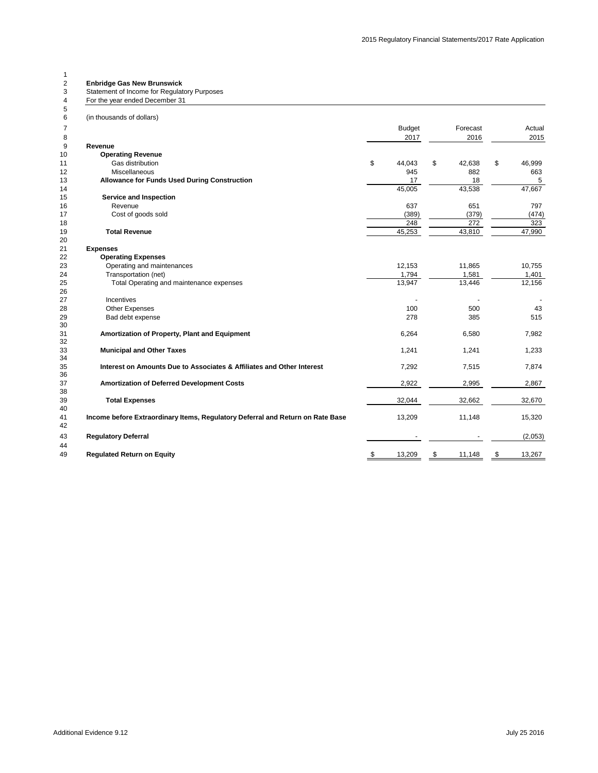| For the year ended December 31                                                 |               |              |              |
|--------------------------------------------------------------------------------|---------------|--------------|--------------|
| (in thousands of dollars)                                                      |               |              |              |
|                                                                                | <b>Budget</b> | Forecast     | Actual       |
|                                                                                | 2017          | 2016         | 2015         |
| <b>Revenue</b>                                                                 |               |              |              |
| <b>Operating Revenue</b>                                                       |               |              |              |
| Gas distribution                                                               | \$<br>44,043  | \$<br>42,638 | \$<br>46,999 |
| Miscellaneous                                                                  | 945           | 882          | 663          |
| <b>Allowance for Funds Used During Construction</b>                            | 17            | 18           | 5            |
|                                                                                | 45,005        | 43,538       | 47,667       |
| <b>Service and Inspection</b>                                                  |               |              |              |
| Revenue                                                                        | 637           | 651          | 797          |
| Cost of goods sold                                                             | (389)         | (379)        | (474)        |
|                                                                                | 248           | 272          | 323          |
| <b>Total Revenue</b>                                                           | 45,253        | 43,810       | 47,990       |
|                                                                                |               |              |              |
| <b>Expenses</b>                                                                |               |              |              |
| <b>Operating Expenses</b>                                                      |               |              |              |
| Operating and maintenances                                                     | 12,153        | 11,865       | 10,755       |
| Transportation (net)                                                           | 1,794         | 1,581        | 1,401        |
| Total Operating and maintenance expenses                                       | 13,947        | 13,446       | 12,156       |
|                                                                                |               |              |              |
| Incentives                                                                     |               |              |              |
| <b>Other Expenses</b>                                                          | 100           | 500          | 43           |
| Bad debt expense                                                               | 278           | 385          | 515          |
|                                                                                |               |              |              |
| Amortization of Property, Plant and Equipment                                  | 6,264         | 6,580        | 7,982        |
|                                                                                |               |              |              |
| <b>Municipal and Other Taxes</b>                                               | 1,241         | 1,241        | 1,233        |
|                                                                                |               |              |              |
| Interest on Amounts Due to Associates & Affiliates and Other Interest          | 7,292         | 7,515        | 7,874        |
|                                                                                |               |              |              |
| <b>Amortization of Deferred Development Costs</b>                              | 2,922         | 2,995        | 2,867        |
|                                                                                |               |              |              |
| <b>Total Expenses</b>                                                          | 32,044        | 32,662       | 32,670       |
|                                                                                |               |              |              |
| Income before Extraordinary Items, Regulatory Deferral and Return on Rate Base | 13,209        | 11,148       | 15,320       |
|                                                                                |               |              |              |
| <b>Regulatory Deferral</b>                                                     |               |              | (2,053)      |
|                                                                                |               |              |              |
| <b>Regulated Return on Equity</b>                                              | 13,209        | \$<br>11,148 | \$<br>13,267 |

Additional Evidence 9.12 July 25 2016